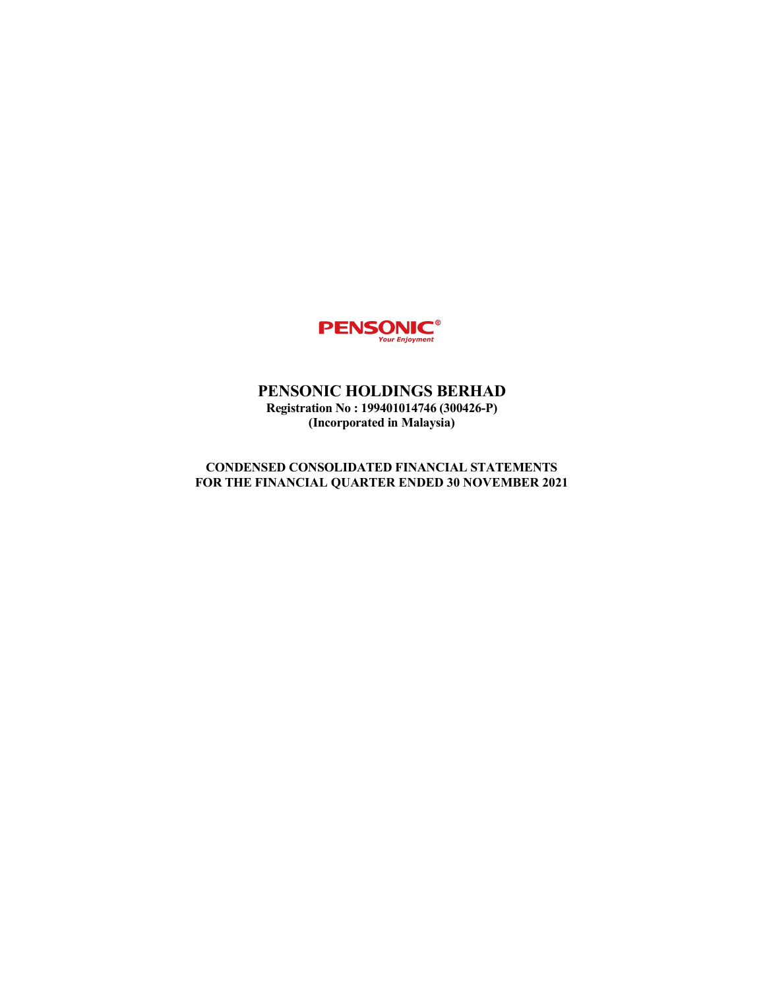

# PENSONIC HOLDINGS BERHAD Registration No : 199401014746 (300426-P) (Incorporated in Malaysia)

# CONDENSED CONSOLIDATED FINANCIAL STATEMENTS FOR THE FINANCIAL QUARTER ENDED 30 NOVEMBER 2021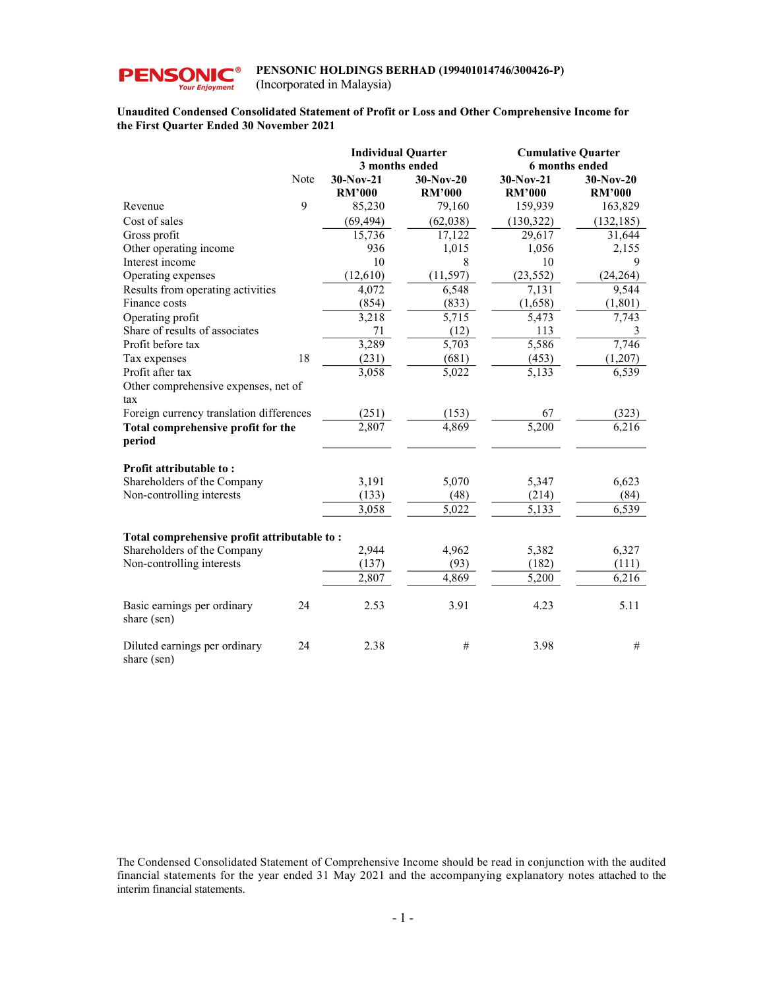

(Incorporated in Malaysia)

#### Unaudited Condensed Consolidated Statement of Profit or Loss and Other Comprehensive Income for the First Quarter Ended 30 November 2021

|                                              |      | <b>Individual Quarter</b><br>3 months ended |                              | <b>Cumulative Quarter</b><br>6 months ended |                              |
|----------------------------------------------|------|---------------------------------------------|------------------------------|---------------------------------------------|------------------------------|
|                                              | Note | $30-Nov-21$<br><b>RM'000</b>                | $30-Nov-20$<br><b>RM'000</b> | 30-Nov-21<br><b>RM'000</b>                  | $30-Nov-20$<br><b>RM'000</b> |
| Revenue                                      | 9    | 85,230                                      | 79,160                       | 159,939                                     | 163,829                      |
| Cost of sales                                |      | (69, 494)                                   | (62,038)                     | (130, 322)                                  | (132, 185)                   |
| Gross profit                                 |      | 15,736                                      | 17,122                       | 29,617                                      | 31,644                       |
| Other operating income                       |      | 936                                         | 1,015                        | 1,056                                       | 2,155                        |
| Interest income                              |      | 10                                          | 8                            | 10                                          | 9                            |
| Operating expenses                           |      | (12, 610)                                   | (11, 597)                    | (23, 552)                                   | (24, 264)                    |
| Results from operating activities            |      | 4,072                                       | 6,548                        | 7,131                                       | 9,544                        |
| Finance costs                                |      | (854)                                       | (833)                        | (1,658)                                     | (1, 801)                     |
| Operating profit                             |      | 3,218                                       | 5,715                        | 5,473                                       | 7,743                        |
| Share of results of associates               |      | 71                                          | (12)                         | 113                                         | 3                            |
| Profit before tax                            |      | 3,289                                       | 5,703                        | 5,586                                       | 7,746                        |
| Tax expenses                                 | 18   | (231)                                       | (681)                        | (453)                                       | (1,207)                      |
| Profit after tax                             |      | 3,058                                       | 5,022                        | 5,133                                       | 6,539                        |
| Other comprehensive expenses, net of         |      |                                             |                              |                                             |                              |
| tax                                          |      |                                             |                              |                                             |                              |
| Foreign currency translation differences     |      | (251)                                       | (153)                        | 67                                          | (323)                        |
| Total comprehensive profit for the<br>period |      | 2,807                                       | 4,869                        | 5,200                                       | 6,216                        |
| Profit attributable to:                      |      |                                             |                              |                                             |                              |
| Shareholders of the Company                  |      | 3,191                                       | 5,070                        | 5,347                                       | 6,623                        |
| Non-controlling interests                    |      | (133)                                       | (48)                         | (214)                                       | (84)                         |
|                                              |      | 3,058                                       | 5,022                        | 5,133                                       | 6,539                        |
| Total comprehensive profit attributable to:  |      |                                             |                              |                                             |                              |
| Shareholders of the Company                  |      | 2,944                                       | 4,962                        | 5,382                                       | 6,327                        |
| Non-controlling interests                    |      | (137)                                       | (93)                         | (182)                                       | (111)                        |
|                                              |      | 2,807                                       | 4,869                        | 5,200                                       | 6,216                        |
|                                              |      |                                             |                              |                                             |                              |
| Basic earnings per ordinary<br>share (sen)   | 24   | 2.53                                        | 3.91                         | 4.23                                        | 5.11                         |
| Diluted earnings per ordinary<br>share (sen) | 24   | 2.38                                        | #                            | 3.98                                        | #                            |

The Condensed Consolidated Statement of Comprehensive Income should be read in conjunction with the audited financial statements for the year ended 31 May 2021 and the accompanying explanatory notes attached to the interim financial statements.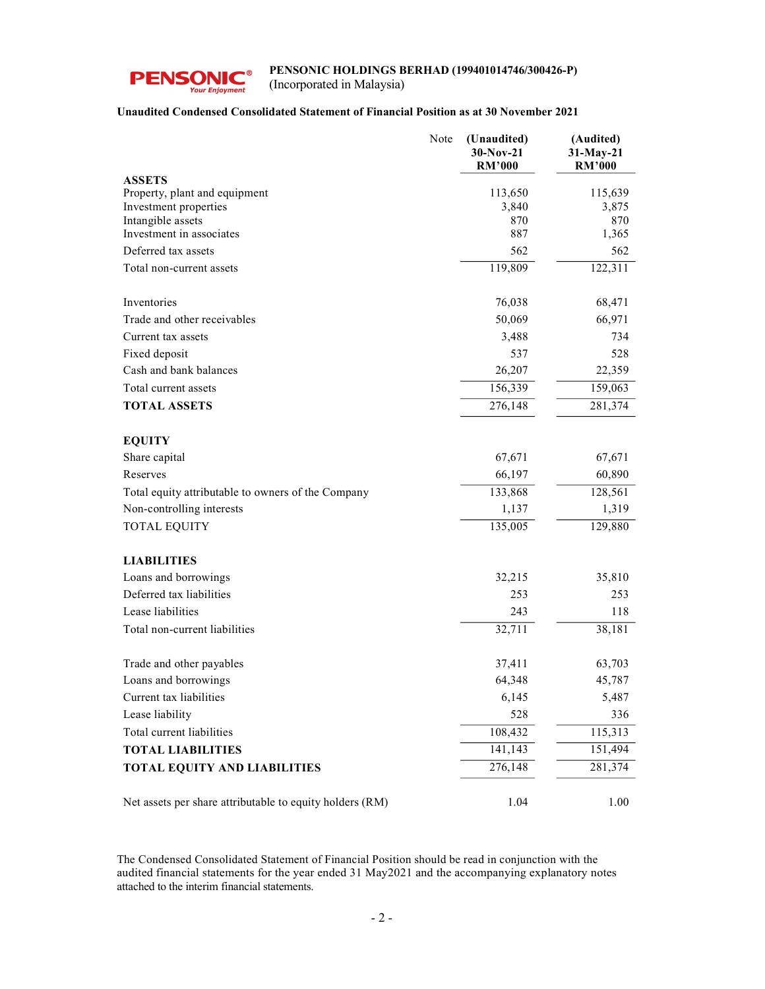

(Incorporated in Malaysia)

## Unaudited Condensed Consolidated Statement of Financial Position as at 30 November 2021

|                                                          | Note | (Unaudited)<br>30-Nov-21<br><b>RM'000</b> | (Audited)<br>31-May-21<br><b>RM'000</b> |  |
|----------------------------------------------------------|------|-------------------------------------------|-----------------------------------------|--|
| <b>ASSETS</b>                                            |      |                                           |                                         |  |
| Property, plant and equipment                            |      | 113,650                                   | 115,639                                 |  |
| Investment properties                                    |      | 3,840                                     | 3,875                                   |  |
| Intangible assets<br>Investment in associates            |      | 870<br>887                                | 870<br>1,365                            |  |
| Deferred tax assets                                      |      | 562                                       | 562                                     |  |
| Total non-current assets                                 |      | 119,809                                   | 122,311                                 |  |
|                                                          |      |                                           |                                         |  |
| Inventories                                              |      | 76,038                                    | 68,471                                  |  |
| Trade and other receivables                              |      | 50,069                                    | 66,971                                  |  |
| Current tax assets                                       |      | 3,488                                     | 734                                     |  |
| Fixed deposit                                            |      | 537                                       | 528                                     |  |
| Cash and bank balances                                   |      | 26,207                                    | 22,359                                  |  |
| Total current assets                                     |      | 156,339                                   | 159,063                                 |  |
| <b>TOTAL ASSETS</b>                                      |      | 276,148                                   | 281,374                                 |  |
|                                                          |      |                                           |                                         |  |
| <b>EQUITY</b>                                            |      |                                           |                                         |  |
| Share capital                                            |      | 67,671                                    | 67,671                                  |  |
| Reserves                                                 |      | 66,197                                    | 60,890                                  |  |
| Total equity attributable to owners of the Company       |      | 133,868                                   | 128,561                                 |  |
| Non-controlling interests                                |      | 1,137                                     | 1,319                                   |  |
| <b>TOTAL EQUITY</b>                                      |      | 135,005                                   | 129,880                                 |  |
|                                                          |      |                                           |                                         |  |
| <b>LIABILITIES</b>                                       |      |                                           |                                         |  |
| Loans and borrowings                                     |      | 32,215                                    | 35,810                                  |  |
| Deferred tax liabilities                                 |      | 253                                       | 253                                     |  |
| Lease liabilities                                        |      | 243                                       | 118                                     |  |
| Total non-current liabilities                            |      | 32,711                                    | 38,181                                  |  |
|                                                          |      | 37,411                                    | 63,703                                  |  |
| Trade and other payables<br>Loans and borrowings         |      | 64,348                                    | 45,787                                  |  |
| Current tax liabilities                                  |      | 6,145                                     | 5,487                                   |  |
| Lease liability                                          |      | 528                                       | 336                                     |  |
| Total current liabilities                                |      | 108,432                                   | 115,313                                 |  |
| <b>TOTAL LIABILITIES</b>                                 |      | 141, 143                                  | 151,494                                 |  |
| TOTAL EQUITY AND LIABILITIES                             |      | 276,148                                   | 281,374                                 |  |
|                                                          |      |                                           |                                         |  |
| Net assets per share attributable to equity holders (RM) |      | 1.04                                      | 1.00                                    |  |
|                                                          |      |                                           |                                         |  |

The Condensed Consolidated Statement of Financial Position should be read in conjunction with the audited financial statements for the year ended 31 May2021 and the accompanying explanatory notes attached to the interim financial statements.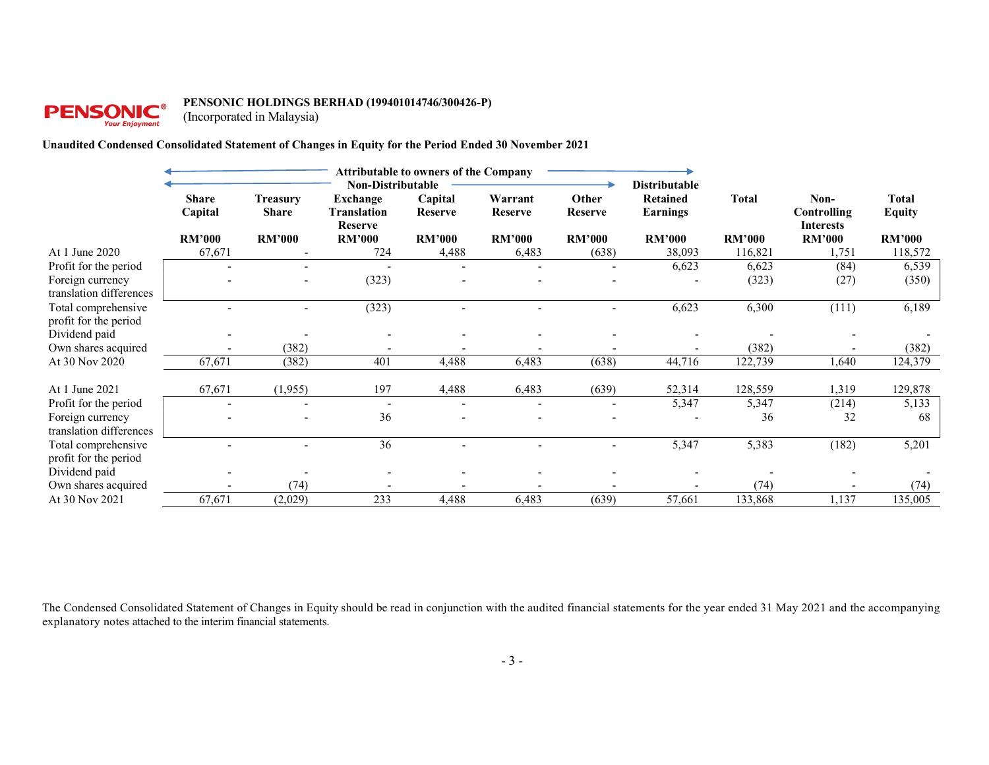# **PENSONIC**<sup>6</sup>

#### PENSONIC HOLDINGS BERHAD (199401014746/300426-P)

(Incorporated in Malaysia)

#### Unaudited Condensed Consolidated Statement of Changes in Equity for the Period Ended 30 November 2021

|                                              |                         | <b>Attributable to owners of the Company</b><br>Non-Distributable |                                                  |                    |                           |                          | <b>Distributable</b>               |               |                                         |                               |
|----------------------------------------------|-------------------------|-------------------------------------------------------------------|--------------------------------------------------|--------------------|---------------------------|--------------------------|------------------------------------|---------------|-----------------------------------------|-------------------------------|
|                                              | <b>Share</b><br>Capital | <b>Treasury</b><br><b>Share</b>                                   | <b>Exchange</b><br>Translation<br><b>Reserve</b> | Capital<br>Reserve | Warrant<br><b>Reserve</b> | Other<br>Reserve         | <b>Retained</b><br><b>Earnings</b> | <b>Total</b>  | Non-<br>Controlling<br><b>Interests</b> | <b>Total</b><br><b>Equity</b> |
|                                              | <b>RM'000</b>           | <b>RM'000</b>                                                     | <b>RM'000</b>                                    | <b>RM'000</b>      | <b>RM'000</b>             | <b>RM'000</b>            | <b>RM'000</b>                      | <b>RM'000</b> | <b>RM'000</b>                           | <b>RM'000</b>                 |
| At 1 June 2020                               | 67,671                  |                                                                   | 724                                              | 4,488              | 6,483                     | (638)                    | 38,093                             | 116,821       | 1,751                                   | 118,572                       |
| Profit for the period                        |                         |                                                                   |                                                  |                    |                           | $\overline{\phantom{0}}$ | 6,623                              | 6,623         | (84)                                    | 6,539                         |
| Foreign currency<br>translation differences  |                         |                                                                   | (323)                                            |                    |                           |                          |                                    | (323)         | (27)                                    | (350)                         |
| Total comprehensive<br>profit for the period |                         |                                                                   | (323)                                            |                    |                           | $\overline{\phantom{0}}$ | 6,623                              | 6,300         | (111)                                   | 6,189                         |
| Dividend paid                                |                         |                                                                   |                                                  |                    |                           |                          |                                    |               |                                         |                               |
| Own shares acquired                          |                         | (382)                                                             |                                                  |                    |                           |                          |                                    | (382)         |                                         | (382)                         |
| At 30 Nov 2020                               | 67,671                  | (382)                                                             | 401                                              | 4,488              | 6,483                     | (638)                    | 44,716                             | 122,739       | 1,640                                   | 124,379                       |
| At 1 June 2021                               | 67,671                  | (1,955)                                                           | 197                                              | 4,488              | 6,483                     | (639)                    | 52,314                             | 128,559       | 1,319                                   | 129,878                       |
| Profit for the period                        |                         | $\overline{\phantom{a}}$                                          | $\overline{\phantom{a}}$                         |                    | $\blacksquare$            | $\overline{\phantom{a}}$ | 5,347                              | 5,347         | (214)                                   | 5,133                         |
| Foreign currency<br>translation differences  |                         |                                                                   | 36                                               |                    |                           |                          |                                    | 36            | 32                                      | 68                            |
| Total comprehensive<br>profit for the period |                         |                                                                   | 36                                               |                    |                           | $\overline{\phantom{0}}$ | 5,347                              | 5,383         | (182)                                   | 5,201                         |
| Dividend paid                                |                         |                                                                   |                                                  |                    |                           |                          |                                    |               |                                         |                               |
| Own shares acquired                          |                         | (74)                                                              |                                                  |                    |                           |                          |                                    | (74)          |                                         | (74)                          |
| At 30 Nov 2021                               | 67,671                  | (2,029)                                                           | 233                                              | 4,488              | 6,483                     | (639)                    | 57,661                             | 133,868       | 1,137                                   | 135,005                       |

The Condensed Consolidated Statement of Changes in Equity should be read in conjunction with the audited financial statements for the year ended 31 May 2021 and the accompanying explanatory notes attached to the interim financial statements.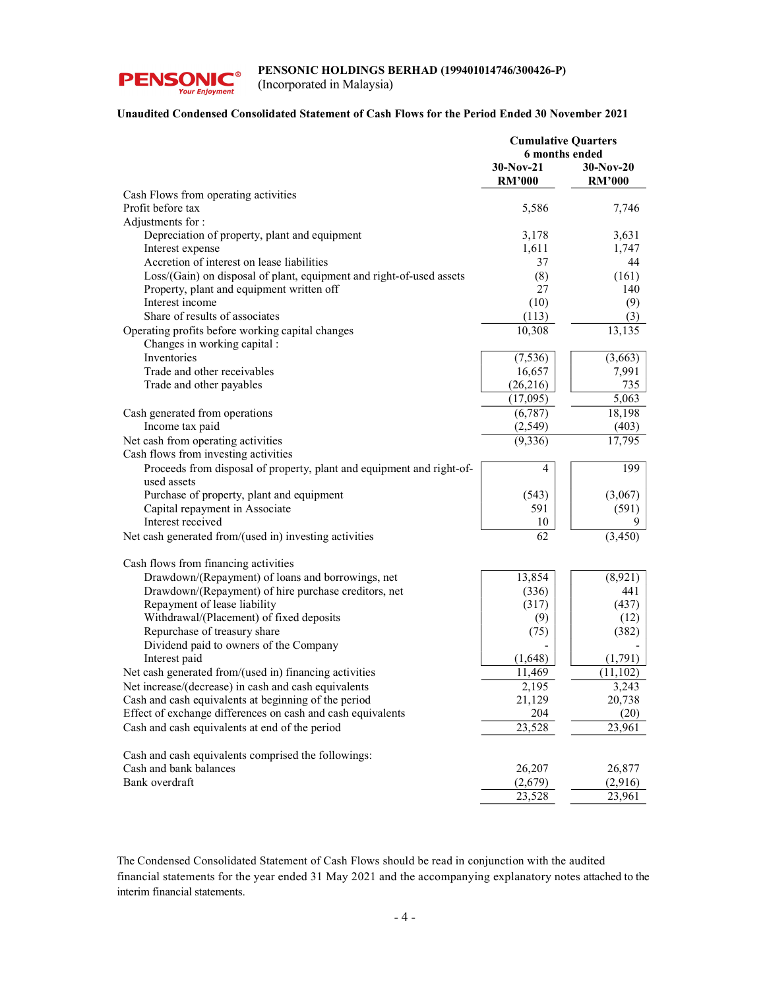

(Incorporated in Malaysia)

#### Unaudited Condensed Consolidated Statement of Cash Flows for the Period Ended 30 November 2021

| 6 months ended<br>$30-Nov-21$<br>$30-Nov-20$<br><b>RM'000</b><br><b>RM'000</b><br>Cash Flows from operating activities<br>Profit before tax<br>5,586<br>7,746<br>Adjustments for :<br>Depreciation of property, plant and equipment<br>3,178<br>3,631<br>Interest expense<br>1,611<br>1,747<br>Accretion of interest on lease liabilities<br>37<br>44<br>Loss/(Gain) on disposal of plant, equipment and right-of-used assets<br>(8)<br>(161)<br>Property, plant and equipment written off<br>27<br>140<br>Interest income<br>(10)<br>(9)<br>Share of results of associates<br>(113)<br>(3)<br>10,308<br>Operating profits before working capital changes<br>13,135<br>Changes in working capital :<br>Inventories<br>(7,536)<br>(3,663)<br>Trade and other receivables<br>16,657<br>7,991<br>735<br>Trade and other payables<br>(26,216)<br>5,063<br>(17,095)<br>(6,787)<br>18,198<br>Cash generated from operations<br>Income tax paid<br>(2,549)<br>(403)<br>Net cash from operating activities<br>17,795<br>(9, 336)<br>Cash flows from investing activities<br>Proceeds from disposal of property, plant and equipment and right-of-<br>199<br>4<br>used assets<br>Purchase of property, plant and equipment<br>(543)<br>(3,067)<br>Capital repayment in Associate<br>591<br>(591)<br>Interest received<br>10<br>9<br>62<br>Net cash generated from/(used in) investing activities<br>(3, 450)<br>Cash flows from financing activities<br>Drawdown/(Repayment) of loans and borrowings, net<br>13,854<br>(8,921)<br>Drawdown/(Repayment) of hire purchase creditors, net<br>(336)<br>441<br>Repayment of lease liability<br>(437)<br>(317)<br>Withdrawal/(Placement) of fixed deposits<br>(9)<br>(12)<br>Repurchase of treasury share<br>(382)<br>(75)<br>Dividend paid to owners of the Company<br>Interest paid<br>(1,648)<br>(1,791)<br>Net cash generated from/(used in) financing activities<br>11,469<br>(11, 102)<br>Net increase/(decrease) in cash and cash equivalents<br>2,195<br>3,243<br>Cash and cash equivalents at beginning of the period<br>21,129<br>20,738<br>Effect of exchange differences on cash and cash equivalents<br>204<br>(20)<br>Cash and cash equivalents at end of the period<br>23,528<br>23,961<br>Cash and cash equivalents comprised the followings:<br>Cash and bank balances<br>26,207<br>26,877<br>Bank overdraft<br>(2,679)<br>(2,916)<br>23,528<br>23,961 | <b>Cumulative Quarters</b> |  |  |
|----------------------------------------------------------------------------------------------------------------------------------------------------------------------------------------------------------------------------------------------------------------------------------------------------------------------------------------------------------------------------------------------------------------------------------------------------------------------------------------------------------------------------------------------------------------------------------------------------------------------------------------------------------------------------------------------------------------------------------------------------------------------------------------------------------------------------------------------------------------------------------------------------------------------------------------------------------------------------------------------------------------------------------------------------------------------------------------------------------------------------------------------------------------------------------------------------------------------------------------------------------------------------------------------------------------------------------------------------------------------------------------------------------------------------------------------------------------------------------------------------------------------------------------------------------------------------------------------------------------------------------------------------------------------------------------------------------------------------------------------------------------------------------------------------------------------------------------------------------------------------------------------------------------------------------------------------------------------------------------------------------------------------------------------------------------------------------------------------------------------------------------------------------------------------------------------------------------------------------------------------------------------------------------------------------------------------------------------------------------------------------------------------------|----------------------------|--|--|
|                                                                                                                                                                                                                                                                                                                                                                                                                                                                                                                                                                                                                                                                                                                                                                                                                                                                                                                                                                                                                                                                                                                                                                                                                                                                                                                                                                                                                                                                                                                                                                                                                                                                                                                                                                                                                                                                                                                                                                                                                                                                                                                                                                                                                                                                                                                                                                                                          |                            |  |  |
|                                                                                                                                                                                                                                                                                                                                                                                                                                                                                                                                                                                                                                                                                                                                                                                                                                                                                                                                                                                                                                                                                                                                                                                                                                                                                                                                                                                                                                                                                                                                                                                                                                                                                                                                                                                                                                                                                                                                                                                                                                                                                                                                                                                                                                                                                                                                                                                                          |                            |  |  |
|                                                                                                                                                                                                                                                                                                                                                                                                                                                                                                                                                                                                                                                                                                                                                                                                                                                                                                                                                                                                                                                                                                                                                                                                                                                                                                                                                                                                                                                                                                                                                                                                                                                                                                                                                                                                                                                                                                                                                                                                                                                                                                                                                                                                                                                                                                                                                                                                          |                            |  |  |
|                                                                                                                                                                                                                                                                                                                                                                                                                                                                                                                                                                                                                                                                                                                                                                                                                                                                                                                                                                                                                                                                                                                                                                                                                                                                                                                                                                                                                                                                                                                                                                                                                                                                                                                                                                                                                                                                                                                                                                                                                                                                                                                                                                                                                                                                                                                                                                                                          |                            |  |  |
|                                                                                                                                                                                                                                                                                                                                                                                                                                                                                                                                                                                                                                                                                                                                                                                                                                                                                                                                                                                                                                                                                                                                                                                                                                                                                                                                                                                                                                                                                                                                                                                                                                                                                                                                                                                                                                                                                                                                                                                                                                                                                                                                                                                                                                                                                                                                                                                                          |                            |  |  |
|                                                                                                                                                                                                                                                                                                                                                                                                                                                                                                                                                                                                                                                                                                                                                                                                                                                                                                                                                                                                                                                                                                                                                                                                                                                                                                                                                                                                                                                                                                                                                                                                                                                                                                                                                                                                                                                                                                                                                                                                                                                                                                                                                                                                                                                                                                                                                                                                          |                            |  |  |
|                                                                                                                                                                                                                                                                                                                                                                                                                                                                                                                                                                                                                                                                                                                                                                                                                                                                                                                                                                                                                                                                                                                                                                                                                                                                                                                                                                                                                                                                                                                                                                                                                                                                                                                                                                                                                                                                                                                                                                                                                                                                                                                                                                                                                                                                                                                                                                                                          |                            |  |  |
|                                                                                                                                                                                                                                                                                                                                                                                                                                                                                                                                                                                                                                                                                                                                                                                                                                                                                                                                                                                                                                                                                                                                                                                                                                                                                                                                                                                                                                                                                                                                                                                                                                                                                                                                                                                                                                                                                                                                                                                                                                                                                                                                                                                                                                                                                                                                                                                                          |                            |  |  |
|                                                                                                                                                                                                                                                                                                                                                                                                                                                                                                                                                                                                                                                                                                                                                                                                                                                                                                                                                                                                                                                                                                                                                                                                                                                                                                                                                                                                                                                                                                                                                                                                                                                                                                                                                                                                                                                                                                                                                                                                                                                                                                                                                                                                                                                                                                                                                                                                          |                            |  |  |
|                                                                                                                                                                                                                                                                                                                                                                                                                                                                                                                                                                                                                                                                                                                                                                                                                                                                                                                                                                                                                                                                                                                                                                                                                                                                                                                                                                                                                                                                                                                                                                                                                                                                                                                                                                                                                                                                                                                                                                                                                                                                                                                                                                                                                                                                                                                                                                                                          |                            |  |  |
|                                                                                                                                                                                                                                                                                                                                                                                                                                                                                                                                                                                                                                                                                                                                                                                                                                                                                                                                                                                                                                                                                                                                                                                                                                                                                                                                                                                                                                                                                                                                                                                                                                                                                                                                                                                                                                                                                                                                                                                                                                                                                                                                                                                                                                                                                                                                                                                                          |                            |  |  |
|                                                                                                                                                                                                                                                                                                                                                                                                                                                                                                                                                                                                                                                                                                                                                                                                                                                                                                                                                                                                                                                                                                                                                                                                                                                                                                                                                                                                                                                                                                                                                                                                                                                                                                                                                                                                                                                                                                                                                                                                                                                                                                                                                                                                                                                                                                                                                                                                          |                            |  |  |
|                                                                                                                                                                                                                                                                                                                                                                                                                                                                                                                                                                                                                                                                                                                                                                                                                                                                                                                                                                                                                                                                                                                                                                                                                                                                                                                                                                                                                                                                                                                                                                                                                                                                                                                                                                                                                                                                                                                                                                                                                                                                                                                                                                                                                                                                                                                                                                                                          |                            |  |  |
|                                                                                                                                                                                                                                                                                                                                                                                                                                                                                                                                                                                                                                                                                                                                                                                                                                                                                                                                                                                                                                                                                                                                                                                                                                                                                                                                                                                                                                                                                                                                                                                                                                                                                                                                                                                                                                                                                                                                                                                                                                                                                                                                                                                                                                                                                                                                                                                                          |                            |  |  |
|                                                                                                                                                                                                                                                                                                                                                                                                                                                                                                                                                                                                                                                                                                                                                                                                                                                                                                                                                                                                                                                                                                                                                                                                                                                                                                                                                                                                                                                                                                                                                                                                                                                                                                                                                                                                                                                                                                                                                                                                                                                                                                                                                                                                                                                                                                                                                                                                          |                            |  |  |
|                                                                                                                                                                                                                                                                                                                                                                                                                                                                                                                                                                                                                                                                                                                                                                                                                                                                                                                                                                                                                                                                                                                                                                                                                                                                                                                                                                                                                                                                                                                                                                                                                                                                                                                                                                                                                                                                                                                                                                                                                                                                                                                                                                                                                                                                                                                                                                                                          |                            |  |  |
|                                                                                                                                                                                                                                                                                                                                                                                                                                                                                                                                                                                                                                                                                                                                                                                                                                                                                                                                                                                                                                                                                                                                                                                                                                                                                                                                                                                                                                                                                                                                                                                                                                                                                                                                                                                                                                                                                                                                                                                                                                                                                                                                                                                                                                                                                                                                                                                                          |                            |  |  |
|                                                                                                                                                                                                                                                                                                                                                                                                                                                                                                                                                                                                                                                                                                                                                                                                                                                                                                                                                                                                                                                                                                                                                                                                                                                                                                                                                                                                                                                                                                                                                                                                                                                                                                                                                                                                                                                                                                                                                                                                                                                                                                                                                                                                                                                                                                                                                                                                          |                            |  |  |
|                                                                                                                                                                                                                                                                                                                                                                                                                                                                                                                                                                                                                                                                                                                                                                                                                                                                                                                                                                                                                                                                                                                                                                                                                                                                                                                                                                                                                                                                                                                                                                                                                                                                                                                                                                                                                                                                                                                                                                                                                                                                                                                                                                                                                                                                                                                                                                                                          |                            |  |  |
|                                                                                                                                                                                                                                                                                                                                                                                                                                                                                                                                                                                                                                                                                                                                                                                                                                                                                                                                                                                                                                                                                                                                                                                                                                                                                                                                                                                                                                                                                                                                                                                                                                                                                                                                                                                                                                                                                                                                                                                                                                                                                                                                                                                                                                                                                                                                                                                                          |                            |  |  |
|                                                                                                                                                                                                                                                                                                                                                                                                                                                                                                                                                                                                                                                                                                                                                                                                                                                                                                                                                                                                                                                                                                                                                                                                                                                                                                                                                                                                                                                                                                                                                                                                                                                                                                                                                                                                                                                                                                                                                                                                                                                                                                                                                                                                                                                                                                                                                                                                          |                            |  |  |
|                                                                                                                                                                                                                                                                                                                                                                                                                                                                                                                                                                                                                                                                                                                                                                                                                                                                                                                                                                                                                                                                                                                                                                                                                                                                                                                                                                                                                                                                                                                                                                                                                                                                                                                                                                                                                                                                                                                                                                                                                                                                                                                                                                                                                                                                                                                                                                                                          |                            |  |  |
|                                                                                                                                                                                                                                                                                                                                                                                                                                                                                                                                                                                                                                                                                                                                                                                                                                                                                                                                                                                                                                                                                                                                                                                                                                                                                                                                                                                                                                                                                                                                                                                                                                                                                                                                                                                                                                                                                                                                                                                                                                                                                                                                                                                                                                                                                                                                                                                                          |                            |  |  |
|                                                                                                                                                                                                                                                                                                                                                                                                                                                                                                                                                                                                                                                                                                                                                                                                                                                                                                                                                                                                                                                                                                                                                                                                                                                                                                                                                                                                                                                                                                                                                                                                                                                                                                                                                                                                                                                                                                                                                                                                                                                                                                                                                                                                                                                                                                                                                                                                          |                            |  |  |
|                                                                                                                                                                                                                                                                                                                                                                                                                                                                                                                                                                                                                                                                                                                                                                                                                                                                                                                                                                                                                                                                                                                                                                                                                                                                                                                                                                                                                                                                                                                                                                                                                                                                                                                                                                                                                                                                                                                                                                                                                                                                                                                                                                                                                                                                                                                                                                                                          |                            |  |  |
|                                                                                                                                                                                                                                                                                                                                                                                                                                                                                                                                                                                                                                                                                                                                                                                                                                                                                                                                                                                                                                                                                                                                                                                                                                                                                                                                                                                                                                                                                                                                                                                                                                                                                                                                                                                                                                                                                                                                                                                                                                                                                                                                                                                                                                                                                                                                                                                                          |                            |  |  |
|                                                                                                                                                                                                                                                                                                                                                                                                                                                                                                                                                                                                                                                                                                                                                                                                                                                                                                                                                                                                                                                                                                                                                                                                                                                                                                                                                                                                                                                                                                                                                                                                                                                                                                                                                                                                                                                                                                                                                                                                                                                                                                                                                                                                                                                                                                                                                                                                          |                            |  |  |
|                                                                                                                                                                                                                                                                                                                                                                                                                                                                                                                                                                                                                                                                                                                                                                                                                                                                                                                                                                                                                                                                                                                                                                                                                                                                                                                                                                                                                                                                                                                                                                                                                                                                                                                                                                                                                                                                                                                                                                                                                                                                                                                                                                                                                                                                                                                                                                                                          |                            |  |  |
|                                                                                                                                                                                                                                                                                                                                                                                                                                                                                                                                                                                                                                                                                                                                                                                                                                                                                                                                                                                                                                                                                                                                                                                                                                                                                                                                                                                                                                                                                                                                                                                                                                                                                                                                                                                                                                                                                                                                                                                                                                                                                                                                                                                                                                                                                                                                                                                                          |                            |  |  |
|                                                                                                                                                                                                                                                                                                                                                                                                                                                                                                                                                                                                                                                                                                                                                                                                                                                                                                                                                                                                                                                                                                                                                                                                                                                                                                                                                                                                                                                                                                                                                                                                                                                                                                                                                                                                                                                                                                                                                                                                                                                                                                                                                                                                                                                                                                                                                                                                          |                            |  |  |
|                                                                                                                                                                                                                                                                                                                                                                                                                                                                                                                                                                                                                                                                                                                                                                                                                                                                                                                                                                                                                                                                                                                                                                                                                                                                                                                                                                                                                                                                                                                                                                                                                                                                                                                                                                                                                                                                                                                                                                                                                                                                                                                                                                                                                                                                                                                                                                                                          |                            |  |  |
|                                                                                                                                                                                                                                                                                                                                                                                                                                                                                                                                                                                                                                                                                                                                                                                                                                                                                                                                                                                                                                                                                                                                                                                                                                                                                                                                                                                                                                                                                                                                                                                                                                                                                                                                                                                                                                                                                                                                                                                                                                                                                                                                                                                                                                                                                                                                                                                                          |                            |  |  |
|                                                                                                                                                                                                                                                                                                                                                                                                                                                                                                                                                                                                                                                                                                                                                                                                                                                                                                                                                                                                                                                                                                                                                                                                                                                                                                                                                                                                                                                                                                                                                                                                                                                                                                                                                                                                                                                                                                                                                                                                                                                                                                                                                                                                                                                                                                                                                                                                          |                            |  |  |
|                                                                                                                                                                                                                                                                                                                                                                                                                                                                                                                                                                                                                                                                                                                                                                                                                                                                                                                                                                                                                                                                                                                                                                                                                                                                                                                                                                                                                                                                                                                                                                                                                                                                                                                                                                                                                                                                                                                                                                                                                                                                                                                                                                                                                                                                                                                                                                                                          |                            |  |  |
|                                                                                                                                                                                                                                                                                                                                                                                                                                                                                                                                                                                                                                                                                                                                                                                                                                                                                                                                                                                                                                                                                                                                                                                                                                                                                                                                                                                                                                                                                                                                                                                                                                                                                                                                                                                                                                                                                                                                                                                                                                                                                                                                                                                                                                                                                                                                                                                                          |                            |  |  |
|                                                                                                                                                                                                                                                                                                                                                                                                                                                                                                                                                                                                                                                                                                                                                                                                                                                                                                                                                                                                                                                                                                                                                                                                                                                                                                                                                                                                                                                                                                                                                                                                                                                                                                                                                                                                                                                                                                                                                                                                                                                                                                                                                                                                                                                                                                                                                                                                          |                            |  |  |
|                                                                                                                                                                                                                                                                                                                                                                                                                                                                                                                                                                                                                                                                                                                                                                                                                                                                                                                                                                                                                                                                                                                                                                                                                                                                                                                                                                                                                                                                                                                                                                                                                                                                                                                                                                                                                                                                                                                                                                                                                                                                                                                                                                                                                                                                                                                                                                                                          |                            |  |  |
|                                                                                                                                                                                                                                                                                                                                                                                                                                                                                                                                                                                                                                                                                                                                                                                                                                                                                                                                                                                                                                                                                                                                                                                                                                                                                                                                                                                                                                                                                                                                                                                                                                                                                                                                                                                                                                                                                                                                                                                                                                                                                                                                                                                                                                                                                                                                                                                                          |                            |  |  |
|                                                                                                                                                                                                                                                                                                                                                                                                                                                                                                                                                                                                                                                                                                                                                                                                                                                                                                                                                                                                                                                                                                                                                                                                                                                                                                                                                                                                                                                                                                                                                                                                                                                                                                                                                                                                                                                                                                                                                                                                                                                                                                                                                                                                                                                                                                                                                                                                          |                            |  |  |
|                                                                                                                                                                                                                                                                                                                                                                                                                                                                                                                                                                                                                                                                                                                                                                                                                                                                                                                                                                                                                                                                                                                                                                                                                                                                                                                                                                                                                                                                                                                                                                                                                                                                                                                                                                                                                                                                                                                                                                                                                                                                                                                                                                                                                                                                                                                                                                                                          |                            |  |  |
|                                                                                                                                                                                                                                                                                                                                                                                                                                                                                                                                                                                                                                                                                                                                                                                                                                                                                                                                                                                                                                                                                                                                                                                                                                                                                                                                                                                                                                                                                                                                                                                                                                                                                                                                                                                                                                                                                                                                                                                                                                                                                                                                                                                                                                                                                                                                                                                                          |                            |  |  |
|                                                                                                                                                                                                                                                                                                                                                                                                                                                                                                                                                                                                                                                                                                                                                                                                                                                                                                                                                                                                                                                                                                                                                                                                                                                                                                                                                                                                                                                                                                                                                                                                                                                                                                                                                                                                                                                                                                                                                                                                                                                                                                                                                                                                                                                                                                                                                                                                          |                            |  |  |

The Condensed Consolidated Statement of Cash Flows should be read in conjunction with the audited financial statements for the year ended 31 May 2021 and the accompanying explanatory notes attached to the interim financial statements.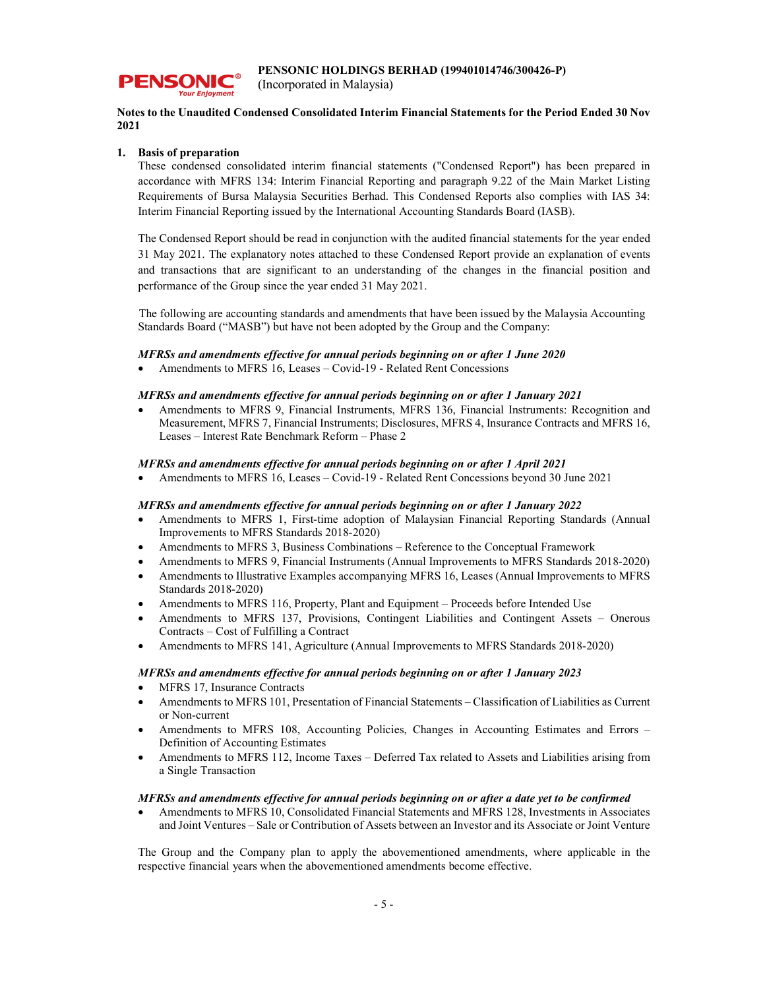

**PENSONIC** 

#### Notes to the Unaudited Condensed Consolidated Interim Financial Statements for the Period Ended 30 Nov 2021

#### 1. Basis of preparation

These condensed consolidated interim financial statements ("Condensed Report") has been prepared in accordance with MFRS 134: Interim Financial Reporting and paragraph 9.22 of the Main Market Listing Requirements of Bursa Malaysia Securities Berhad. This Condensed Reports also complies with IAS 34: Interim Financial Reporting issued by the International Accounting Standards Board (IASB).

The Condensed Report should be read in conjunction with the audited financial statements for the year ended 31 May 2021. The explanatory notes attached to these Condensed Report provide an explanation of events and transactions that are significant to an understanding of the changes in the financial position and performance of the Group since the year ended 31 May 2021.

The following are accounting standards and amendments that have been issued by the Malaysia Accounting Standards Board ("MASB") but have not been adopted by the Group and the Company:

#### MFRSs and amendments effective for annual periods beginning on or after 1 June 2020

Amendments to MFRS 16, Leases – Covid-19 - Related Rent Concessions

#### MFRSs and amendments effective for annual periods beginning on or after 1 January 2021

 Amendments to MFRS 9, Financial Instruments, MFRS 136, Financial Instruments: Recognition and Measurement, MFRS 7, Financial Instruments; Disclosures, MFRS 4, Insurance Contracts and MFRS 16, Leases – Interest Rate Benchmark Reform – Phase 2

#### MFRSs and amendments effective for annual periods beginning on or after 1 April 2021

Amendments to MFRS 16, Leases – Covid-19 - Related Rent Concessions beyond 30 June 2021

#### MFRSs and amendments effective for annual periods beginning on or after 1 January 2022

- Amendments to MFRS 1, First-time adoption of Malaysian Financial Reporting Standards (Annual Improvements to MFRS Standards 2018-2020)
- Amendments to MFRS 3, Business Combinations Reference to the Conceptual Framework
- Amendments to MFRS 9, Financial Instruments (Annual Improvements to MFRS Standards 2018-2020)
- Amendments to Illustrative Examples accompanying MFRS 16, Leases (Annual Improvements to MFRS Standards 2018-2020)
- Amendments to MFRS 116, Property, Plant and Equipment Proceeds before Intended Use
- Amendments to MFRS 137, Provisions, Contingent Liabilities and Contingent Assets Onerous Contracts – Cost of Fulfilling a Contract
- Amendments to MFRS 141, Agriculture (Annual Improvements to MFRS Standards 2018-2020)

#### MFRSs and amendments effective for annual periods beginning on or after 1 January 2023

- MFRS 17, Insurance Contracts
- Amendments to MFRS 101, Presentation of Financial Statements Classification of Liabilities as Current or Non-current
- Amendments to MFRS 108, Accounting Policies, Changes in Accounting Estimates and Errors Definition of Accounting Estimates
- Amendments to MFRS 112, Income Taxes Deferred Tax related to Assets and Liabilities arising from a Single Transaction

#### MFRSs and amendments effective for annual periods beginning on or after a date yet to be confirmed

 Amendments to MFRS 10, Consolidated Financial Statements and MFRS 128, Investments in Associates and Joint Ventures – Sale or Contribution of Assets between an Investor and its Associate or Joint Venture

The Group and the Company plan to apply the abovementioned amendments, where applicable in the respective financial years when the abovementioned amendments become effective.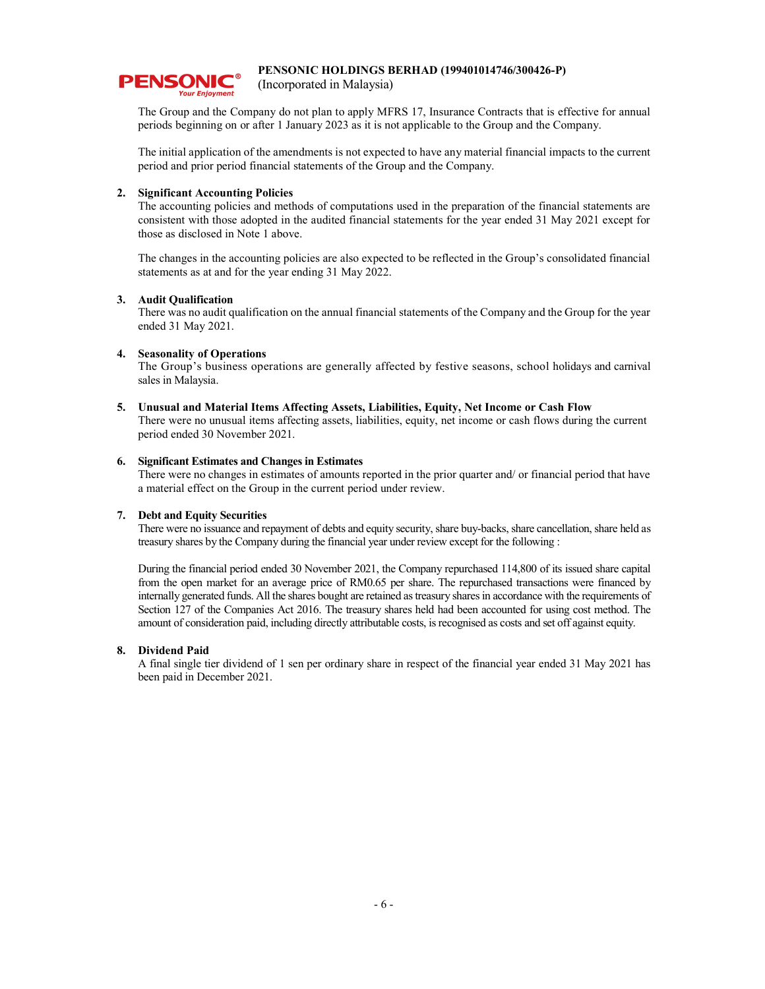

(Incorporated in Malaysia)

The Group and the Company do not plan to apply MFRS 17, Insurance Contracts that is effective for annual periods beginning on or after 1 January 2023 as it is not applicable to the Group and the Company.

The initial application of the amendments is not expected to have any material financial impacts to the current period and prior period financial statements of the Group and the Company.

#### 2. Significant Accounting Policies

The accounting policies and methods of computations used in the preparation of the financial statements are consistent with those adopted in the audited financial statements for the year ended 31 May 2021 except for those as disclosed in Note 1 above.

The changes in the accounting policies are also expected to be reflected in the Group's consolidated financial statements as at and for the year ending 31 May 2022.

#### 3. Audit Qualification

 There was no audit qualification on the annual financial statements of the Company and the Group for the year ended 31 May 2021.

#### 4. Seasonality of Operations

 The Group's business operations are generally affected by festive seasons, school holidays and carnival sales in Malaysia.

#### 5. Unusual and Material Items Affecting Assets, Liabilities, Equity, Net Income or Cash Flow

There were no unusual items affecting assets, liabilities, equity, net income or cash flows during the current period ended 30 November 2021.

#### 6. Significant Estimates and Changes in Estimates

There were no changes in estimates of amounts reported in the prior quarter and/ or financial period that have a material effect on the Group in the current period under review.

#### 7. Debt and Equity Securities

There were no issuance and repayment of debts and equity security, share buy-backs, share cancellation, share held as treasury shares by the Company during the financial year under review except for the following :

During the financial period ended 30 November 2021, the Company repurchased 114,800 of its issued share capital from the open market for an average price of RM0.65 per share. The repurchased transactions were financed by internally generated funds. All the shares bought are retained as treasury shares in accordance with the requirements of Section 127 of the Companies Act 2016. The treasury shares held had been accounted for using cost method. The amount of consideration paid, including directly attributable costs, is recognised as costs and set off against equity.

#### 8. Dividend Paid

A final single tier dividend of 1 sen per ordinary share in respect of the financial year ended 31 May 2021 has been paid in December 2021.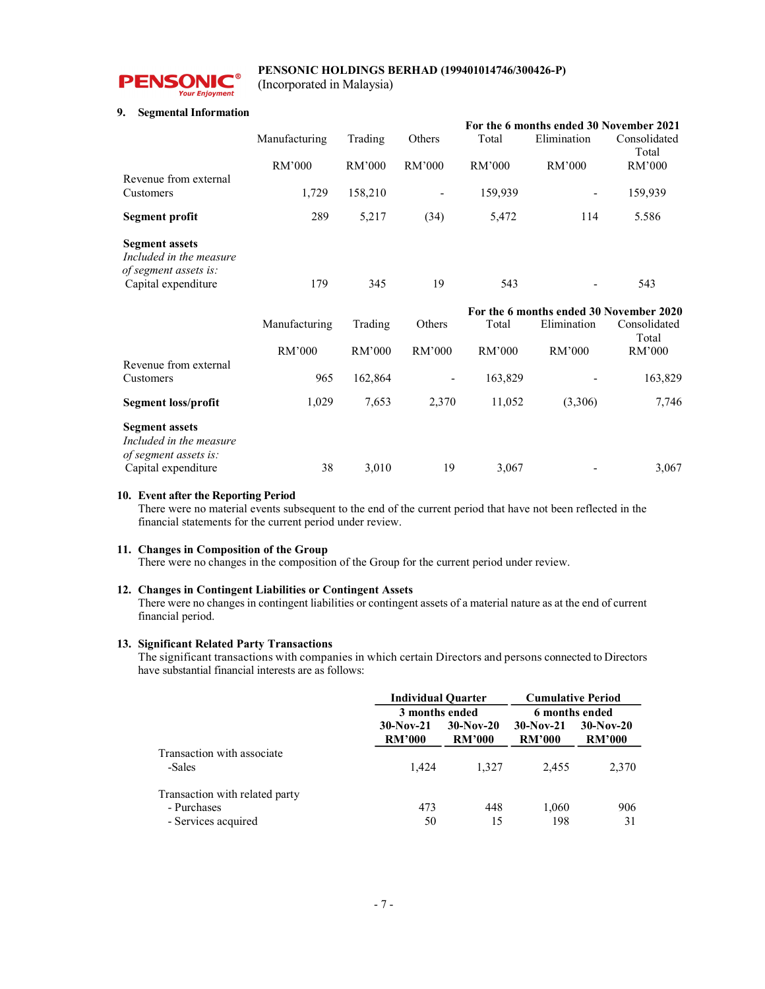

(Incorporated in Malaysia)

#### 9. Segmental Information

|                                                                           |               |         |                          | For the 6 months ended 30 November 2021 |                                         |                       |  |
|---------------------------------------------------------------------------|---------------|---------|--------------------------|-----------------------------------------|-----------------------------------------|-----------------------|--|
|                                                                           | Manufacturing | Trading | Others                   | Total                                   | Elimination                             | Consolidated<br>Total |  |
|                                                                           | RM'000        | RM'000  | RM'000                   | RM'000                                  | RM'000                                  | RM'000                |  |
| Revenue from external<br>Customers                                        | 1,729         | 158,210 | $\overline{\phantom{a}}$ | 159,939                                 |                                         | 159,939               |  |
| <b>Segment profit</b>                                                     | 289           | 5,217   | (34)                     | 5,472                                   | 114                                     | 5.586                 |  |
| <b>Segment assets</b><br>Included in the measure<br>of segment assets is: |               |         |                          |                                         |                                         |                       |  |
| Capital expenditure                                                       | 179           | 345     | 19                       | 543                                     |                                         | 543                   |  |
|                                                                           |               |         |                          |                                         | For the 6 months ended 30 November 2020 |                       |  |
|                                                                           | Manufacturing | Trading | Others                   | Total                                   | Elimination                             | Consolidated<br>Total |  |
|                                                                           | RM'000        | RM'000  | RM'000                   | RM'000                                  | RM'000                                  | RM'000                |  |
|                                                                           |               |         |                          |                                         |                                         |                       |  |
| Revenue from external                                                     |               |         |                          |                                         |                                         |                       |  |
| Customers                                                                 | 965           | 162,864 |                          | 163,829                                 |                                         | 163,829               |  |
| Segment loss/profit                                                       | 1,029         | 7,653   | 2,370                    | 11,052                                  | (3,306)                                 | 7,746                 |  |
| <b>Segment assets</b><br>Included in the measure                          |               |         |                          |                                         |                                         |                       |  |

#### 10. Event after the Reporting Period

There were no material events subsequent to the end of the current period that have not been reflected in the financial statements for the current period under review.

#### 11. Changes in Composition of the Group

There were no changes in the composition of the Group for the current period under review.

#### 12. Changes in Contingent Liabilities or Contingent Assets

There were no changes in contingent liabilities or contingent assets of a material nature as at the end of current financial period.

#### 13. Significant Related Party Transactions

 The significant transactions with companies in which certain Directors and persons connected to Directors have substantial financial interests are as follows:

|                                                                      | <b>Individual Quarter</b>    |                              | <b>Cumulative Period</b>     |                              |  |
|----------------------------------------------------------------------|------------------------------|------------------------------|------------------------------|------------------------------|--|
|                                                                      | 3 months ended               |                              | 6 months ended               |                              |  |
|                                                                      | $30-Nov-21$<br><b>RM'000</b> | $30-Nov-20$<br><b>RM'000</b> | $30-Nov-21$<br><b>RM'000</b> | $30-Nov-20$<br><b>RM'000</b> |  |
| Transaction with associate<br>-Sales                                 | 1.424                        | 1.327                        | 2.455                        | 2,370                        |  |
| Transaction with related party<br>- Purchases<br>- Services acquired | 473<br>50                    | 448<br>15                    | 1,060<br>198                 | 906<br>31                    |  |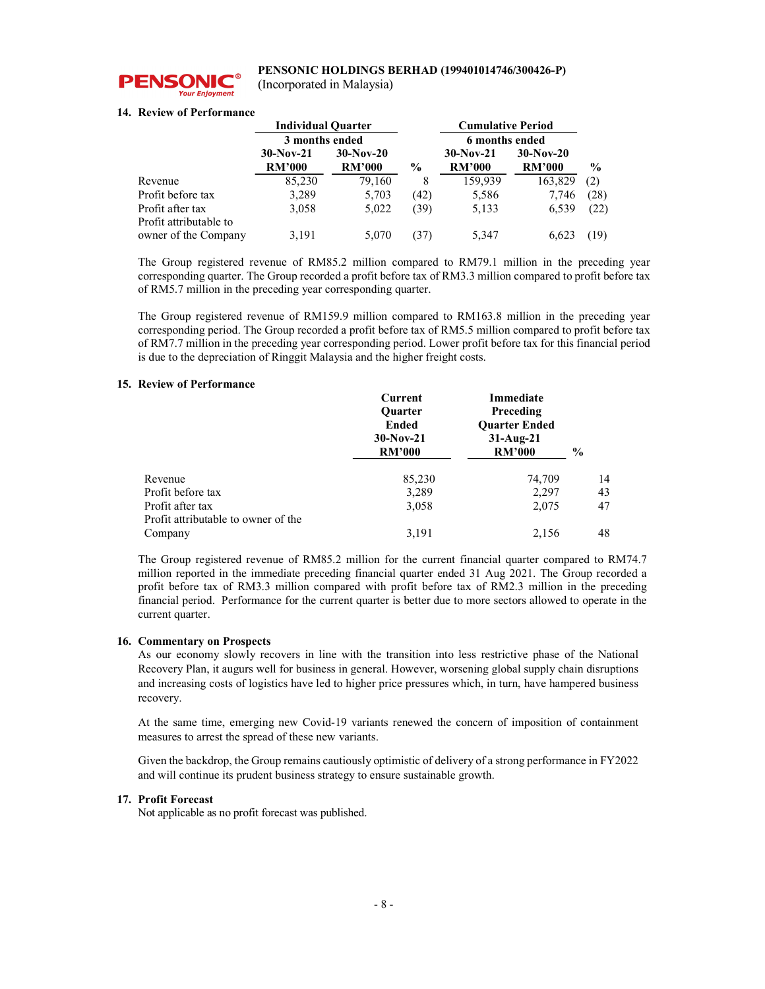

(Incorporated in Malaysia)

#### 14. Review of Performance

|                        | <b>Individual Quarter</b> |               |               | <b>Cumulative Period</b> |               |               |
|------------------------|---------------------------|---------------|---------------|--------------------------|---------------|---------------|
|                        | 3 months ended            |               |               | 6 months ended           |               |               |
|                        | $30-Nov-21$               | $30-Nov-20$   |               | $30-Nov-21$              | $30-Nov-20$   |               |
|                        | <b>RM'000</b>             | <b>RM'000</b> | $\frac{6}{9}$ | <b>RM'000</b>            | <b>RM'000</b> | $\frac{6}{9}$ |
| Revenue                | 85,230                    | 79,160        | 8             | 159,939                  | 163,829       | (2)           |
| Profit before tax      | 3,289                     | 5,703         | (42)          | 5,586                    | 7,746         | (28)          |
| Profit after tax       | 3,058                     | 5,022         | (39)          | 5,133                    | 6,539         | (22)          |
| Profit attributable to |                           |               |               |                          |               |               |
| owner of the Company   | 3,191                     | 5,070         | 37            | 5,347                    | 6.623         | (19)          |

The Group registered revenue of RM85.2 million compared to RM79.1 million in the preceding year corresponding quarter. The Group recorded a profit before tax of RM3.3 million compared to profit before tax of RM5.7 million in the preceding year corresponding quarter.

The Group registered revenue of RM159.9 million compared to RM163.8 million in the preceding year corresponding period. The Group recorded a profit before tax of RM5.5 million compared to profit before tax of RM7.7 million in the preceding year corresponding period. Lower profit before tax for this financial period is due to the depreciation of Ringgit Malaysia and the higher freight costs.

#### 15. Review of Performance

|                                                         | Current<br><b>Ouarter</b><br>Ended<br>$30-Nov-21$<br><b>RM'000</b> | Immediate<br>Preceding<br><b>Ouarter Ended</b><br>$31-Aug-21$<br><b>RM'000</b> | $\%$ |
|---------------------------------------------------------|--------------------------------------------------------------------|--------------------------------------------------------------------------------|------|
| Revenue                                                 | 85,230                                                             | 74,709                                                                         | 14   |
| Profit before tax                                       | 3,289                                                              | 2,297                                                                          | 43   |
| Profit after tax<br>Profit attributable to owner of the | 3,058                                                              | 2,075                                                                          | 47   |
| Company                                                 | 3,191                                                              | 2,156                                                                          | 48   |

The Group registered revenue of RM85.2 million for the current financial quarter compared to RM74.7 million reported in the immediate preceding financial quarter ended 31 Aug 2021. The Group recorded a profit before tax of RM3.3 million compared with profit before tax of RM2.3 million in the preceding financial period. Performance for the current quarter is better due to more sectors allowed to operate in the current quarter.

#### 16. Commentary on Prospects

As our economy slowly recovers in line with the transition into less restrictive phase of the National Recovery Plan, it augurs well for business in general. However, worsening global supply chain disruptions and increasing costs of logistics have led to higher price pressures which, in turn, have hampered business recovery.

At the same time, emerging new Covid-19 variants renewed the concern of imposition of containment measures to arrest the spread of these new variants.

Given the backdrop, the Group remains cautiously optimistic of delivery of a strong performance in FY2022 and will continue its prudent business strategy to ensure sustainable growth.

#### 17. Profit Forecast

Not applicable as no profit forecast was published.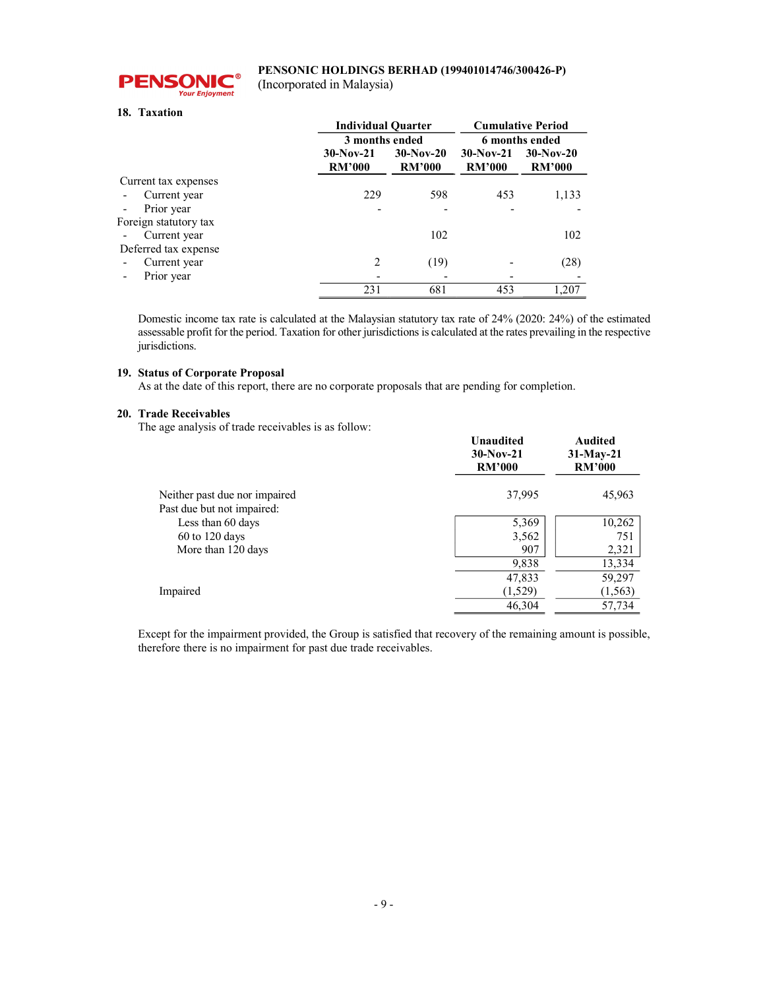

(Incorporated in Malaysia)

#### 18. Taxation

|                       | <b>Individual Quarter</b>    |                              | <b>Cumulative Period</b>     |                              |  |
|-----------------------|------------------------------|------------------------------|------------------------------|------------------------------|--|
|                       | 3 months ended               |                              | 6 months ended               |                              |  |
|                       | $30-Nov-21$<br><b>RM'000</b> | $30-Nov-20$<br><b>RM'000</b> | $30-Nov-21$<br><b>RM'000</b> | $30-Nov-20$<br><b>RM'000</b> |  |
| Current tax expenses  |                              |                              |                              |                              |  |
| Current year          | 229                          | 598                          | 453                          | 1,133                        |  |
| Prior year            |                              |                              |                              |                              |  |
| Foreign statutory tax |                              |                              |                              |                              |  |
| Current year          |                              | 102                          |                              | 102                          |  |
| Deferred tax expense  |                              |                              |                              |                              |  |
| Current year          | $\mathfrak{D}$               | (19)                         |                              | (28)                         |  |
| Prior year            |                              |                              |                              |                              |  |
|                       | 231                          | 681                          | 453                          | 1.207                        |  |

Domestic income tax rate is calculated at the Malaysian statutory tax rate of 24% (2020: 24%) of the estimated assessable profit for the period. Taxation for other jurisdictions is calculated at the rates prevailing in the respective jurisdictions.

#### 19. Status of Corporate Proposal

As at the date of this report, there are no corporate proposals that are pending for completion.

#### 20. Trade Receivables

The age analysis of trade receivables is as follow:

|                               | <b>Unaudited</b><br>$30-Nov-21$<br><b>RM'000</b> | <b>Audited</b><br>$31-May-21$<br><b>RM'000</b> |  |
|-------------------------------|--------------------------------------------------|------------------------------------------------|--|
| Neither past due nor impaired | 37,995                                           | 45,963                                         |  |
| Past due but not impaired:    |                                                  |                                                |  |
| Less than 60 days             | 5,369                                            | 10,262                                         |  |
| $60$ to $120$ days            | 3,562                                            | 751                                            |  |
| More than 120 days            | 907                                              | 2,321                                          |  |
|                               | 9,838                                            | 13,334                                         |  |
|                               | 47,833                                           | 59,297                                         |  |
| Impaired                      | (1,529)                                          | (1, 563)                                       |  |
|                               | 46,304                                           | 57,734                                         |  |
|                               |                                                  |                                                |  |

Except for the impairment provided, the Group is satisfied that recovery of the remaining amount is possible, therefore there is no impairment for past due trade receivables.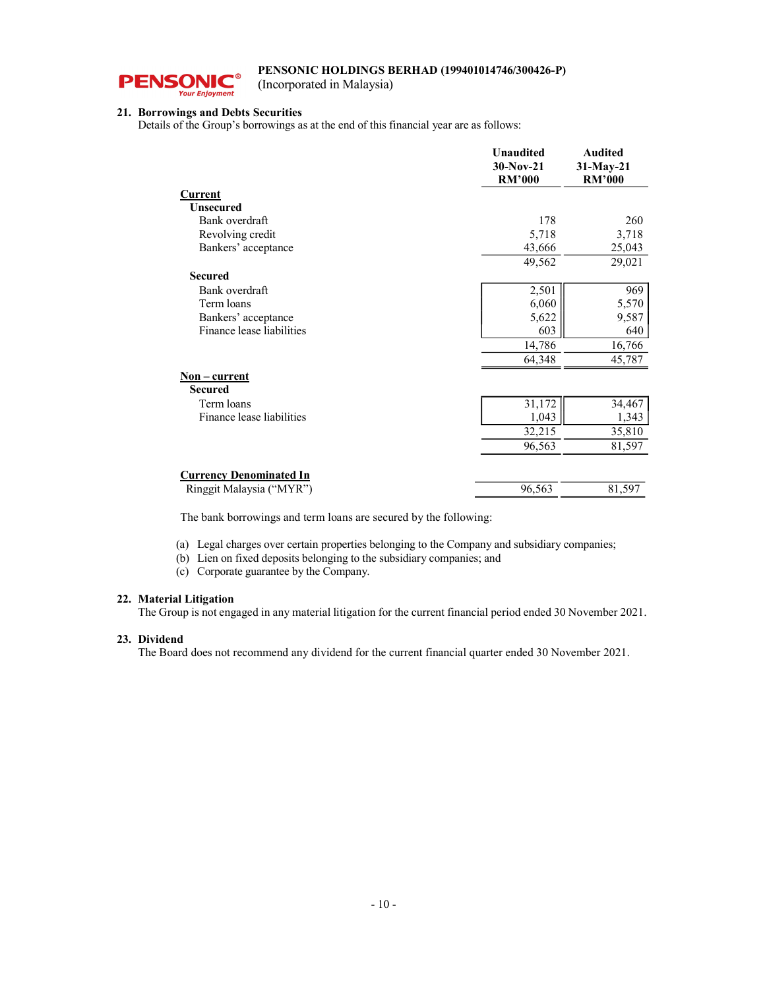

(Incorporated in Malaysia)

#### 21. Borrowings and Debts Securities

Details of the Group's borrowings as at the end of this financial year are as follows:

|                                | <b>Unaudited</b>             | <b>Audited</b>             |
|--------------------------------|------------------------------|----------------------------|
|                                | $30-Nov-21$<br><b>RM'000</b> | 31-May-21<br><b>RM'000</b> |
| Current                        |                              |                            |
| <b>Unsecured</b>               |                              |                            |
| Bank overdraft                 | 178                          | 260                        |
| Revolving credit               | 5,718                        | 3,718                      |
| Bankers' acceptance            | 43,666                       | 25,043                     |
|                                | 49,562                       | 29,021                     |
| <b>Secured</b>                 |                              |                            |
| Bank overdraft                 | 2,501                        | 969                        |
| Term loans                     | 6,060                        | 5,570                      |
| Bankers' acceptance            | 5,622                        | 9,587                      |
| Finance lease liabilities      | 603                          | 640                        |
|                                | 14,786                       | 16,766                     |
|                                | 64,348                       | 45,787                     |
| $Non-current$                  |                              |                            |
| <b>Secured</b>                 |                              |                            |
| Term loans                     | 31,172                       | 34,467                     |
| Finance lease liabilities      | 1,043                        | 1,343                      |
|                                | 32,215                       | 35,810                     |
|                                | 96,563                       | 81,597                     |
| <b>Currency Denominated In</b> |                              |                            |
| Ringgit Malaysia ("MYR")       | 96,563                       | 81,597                     |
|                                |                              |                            |

The bank borrowings and term loans are secured by the following:

(a) Legal charges over certain properties belonging to the Company and subsidiary companies;

(b) Lien on fixed deposits belonging to the subsidiary companies; and

(c) Corporate guarantee by the Company.

#### 22. Material Litigation

The Group is not engaged in any material litigation for the current financial period ended 30 November 2021.

#### 23. Dividend

The Board does not recommend any dividend for the current financial quarter ended 30 November 2021.